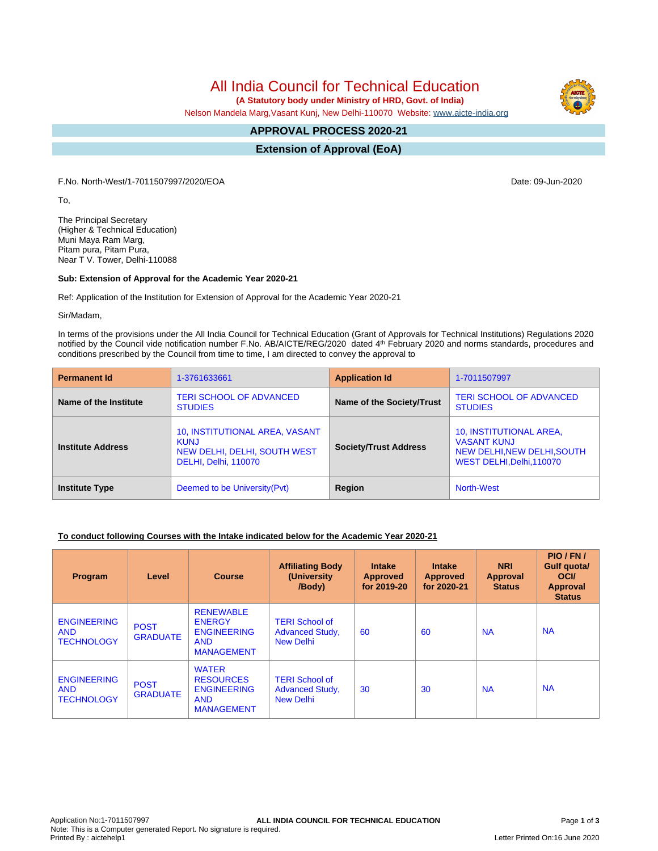All India Council for Technical Education

 **(A Statutory body under Ministry of HRD, Govt. of India)**

Nelson Mandela Marg,Vasant Kunj, New Delhi-110070 Website: [www.aicte-india.org](http://www.aicte-india.org)

#### **APPROVAL PROCESS 2020-21 -**

**Extension of Approval (EoA)**

F.No. North-West/1-7011507997/2020/EOA Date: 09-Jun-2020

To,

The Principal Secretary (Higher & Technical Education) Muni Maya Ram Marg, Pitam pura, Pitam Pura, Near T V. Tower, Delhi-110088

### **Sub: Extension of Approval for the Academic Year 2020-21**

Ref: Application of the Institution for Extension of Approval for the Academic Year 2020-21

Sir/Madam,

In terms of the provisions under the All India Council for Technical Education (Grant of Approvals for Technical Institutions) Regulations 2020 notified by the Council vide notification number F.No. AB/AICTE/REG/2020 dated 4<sup>th</sup> February 2020 and norms standards, procedures and conditions prescribed by the Council from time to time, I am directed to convey the approval to

| <b>Permanent Id</b>      | 1-3761633661                                                                                          | <b>Application Id</b>        | 1-7011507997                                                                                              |  |
|--------------------------|-------------------------------------------------------------------------------------------------------|------------------------------|-----------------------------------------------------------------------------------------------------------|--|
| Name of the Institute    | <b>TERI SCHOOL OF ADVANCED</b><br><b>STUDIES</b>                                                      | Name of the Society/Trust    | <b>TERI SCHOOL OF ADVANCED</b><br><b>STUDIES</b>                                                          |  |
| <b>Institute Address</b> | 10, INSTITUTIONAL AREA, VASANT<br><b>KUNJ</b><br>NEW DELHI, DELHI, SOUTH WEST<br>DELHI, Delhi, 110070 | <b>Society/Trust Address</b> | 10, INSTITUTIONAL AREA,<br><b>VASANT KUNJ</b><br>NEW DELHI, NEW DELHI, SOUTH<br>WEST DELHI, Delhi, 110070 |  |
| <b>Institute Type</b>    | Region<br>Deemed to be University (Pvt)                                                               |                              | <b>North-West</b>                                                                                         |  |

## **To conduct following Courses with the Intake indicated below for the Academic Year 2020-21**

| Program                                               | Level                          | <b>Course</b>                                                                              | <b>Affiliating Body</b><br>(University)<br>/Body)                   | <b>Intake</b><br><b>Approved</b><br>for 2019-20 | <b>Intake</b><br><b>Approved</b><br>for 2020-21 | <b>NRI</b><br>Approval<br><b>Status</b> | PIO/FN/<br>Gulf quota/<br><b>OCI</b><br>Approval<br><b>Status</b> |
|-------------------------------------------------------|--------------------------------|--------------------------------------------------------------------------------------------|---------------------------------------------------------------------|-------------------------------------------------|-------------------------------------------------|-----------------------------------------|-------------------------------------------------------------------|
| <b>ENGINEERING</b><br><b>AND</b><br><b>TECHNOLOGY</b> | <b>POST</b><br><b>GRADUATE</b> | <b>RENEWABLE</b><br><b>ENERGY</b><br><b>ENGINEERING</b><br><b>AND</b><br><b>MANAGEMENT</b> | <b>TERI School of</b><br><b>Advanced Study,</b><br><b>New Delhi</b> | 60                                              | 60                                              | <b>NA</b>                               | <b>NA</b>                                                         |
| <b>ENGINEERING</b><br><b>AND</b><br><b>TECHNOLOGY</b> | <b>POST</b><br><b>GRADUATE</b> | <b>WATER</b><br><b>RESOURCES</b><br><b>ENGINEERING</b><br><b>AND</b><br><b>MANAGEMENT</b>  | <b>TERI School of</b><br><b>Advanced Study,</b><br><b>New Delhi</b> | 30                                              | 30                                              | <b>NA</b>                               | <b>NA</b>                                                         |

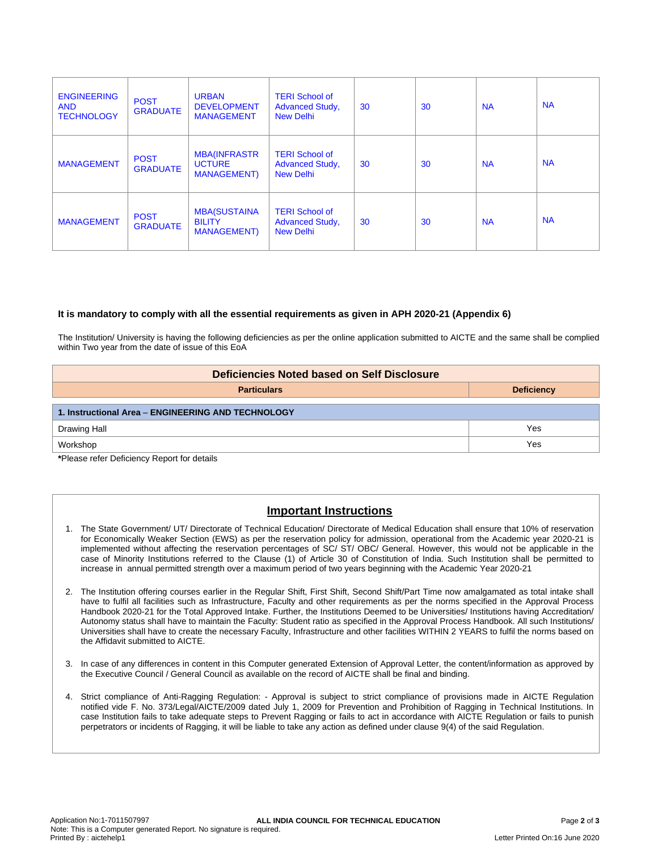| <b>ENGINEERING</b><br><b>AND</b><br><b>TECHNOLOGY</b> | <b>POST</b><br><b>GRADUATE</b> | <b>URBAN</b><br><b>DEVELOPMENT</b><br><b>MANAGEMENT</b>     | <b>TERI School of</b><br><b>Advanced Study,</b><br><b>New Delhi</b> | 30 | 30 | <b>NA</b> | <b>NA</b> |
|-------------------------------------------------------|--------------------------------|-------------------------------------------------------------|---------------------------------------------------------------------|----|----|-----------|-----------|
| <b>MANAGEMENT</b>                                     | <b>POST</b><br><b>GRADUATE</b> | <b>MBA(INFRASTR</b><br><b>UCTURE</b><br><b>MANAGEMENT)</b>  | <b>TERI School of</b><br><b>Advanced Study,</b><br><b>New Delhi</b> | 30 | 30 | <b>NA</b> | <b>NA</b> |
| <b>MANAGEMENT</b>                                     | <b>POST</b><br><b>GRADUATE</b> | <b>MBA(SUSTAINA</b><br><b>BILITY</b><br><b>MANAGEMENT</b> ) | <b>TERI School of</b><br><b>Advanced Study,</b><br><b>New Delhi</b> | 30 | 30 | <b>NA</b> | <b>NA</b> |

### **It is mandatory to comply with all the essential requirements as given in APH 2020-21 (Appendix 6)**

The Institution/ University is having the following deficiencies as per the online application submitted to AICTE and the same shall be complied within Two year from the date of issue of this EoA

| Deficiencies Noted based on Self Disclosure        |     |  |  |  |
|----------------------------------------------------|-----|--|--|--|
| <b>Particulars</b><br><b>Deficiency</b>            |     |  |  |  |
| 1. Instructional Area - ENGINEERING AND TECHNOLOGY |     |  |  |  |
| Drawing Hall                                       | Yes |  |  |  |
| Workshop                                           | Yes |  |  |  |

**\***Please refer Deficiency Report for details

# **Important Instructions**

- 1. The State Government/ UT/ Directorate of Technical Education/ Directorate of Medical Education shall ensure that 10% of reservation for Economically Weaker Section (EWS) as per the reservation policy for admission, operational from the Academic year 2020-21 is implemented without affecting the reservation percentages of SC/ ST/ OBC/ General. However, this would not be applicable in the case of Minority Institutions referred to the Clause (1) of Article 30 of Constitution of India. Such Institution shall be permitted to increase in annual permitted strength over a maximum period of two years beginning with the Academic Year 2020-21
- 2. The Institution offering courses earlier in the Regular Shift, First Shift, Second Shift/Part Time now amalgamated as total intake shall have to fulfil all facilities such as Infrastructure, Faculty and other requirements as per the norms specified in the Approval Process Handbook 2020-21 for the Total Approved Intake. Further, the Institutions Deemed to be Universities/ Institutions having Accreditation/ Autonomy status shall have to maintain the Faculty: Student ratio as specified in the Approval Process Handbook. All such Institutions/ Universities shall have to create the necessary Faculty, Infrastructure and other facilities WITHIN 2 YEARS to fulfil the norms based on the Affidavit submitted to AICTE.
- 3. In case of any differences in content in this Computer generated Extension of Approval Letter, the content/information as approved by the Executive Council / General Council as available on the record of AICTE shall be final and binding.
- 4. Strict compliance of Anti-Ragging Regulation: Approval is subject to strict compliance of provisions made in AICTE Regulation notified vide F. No. 373/Legal/AICTE/2009 dated July 1, 2009 for Prevention and Prohibition of Ragging in Technical Institutions. In case Institution fails to take adequate steps to Prevent Ragging or fails to act in accordance with AICTE Regulation or fails to punish perpetrators or incidents of Ragging, it will be liable to take any action as defined under clause 9(4) of the said Regulation.